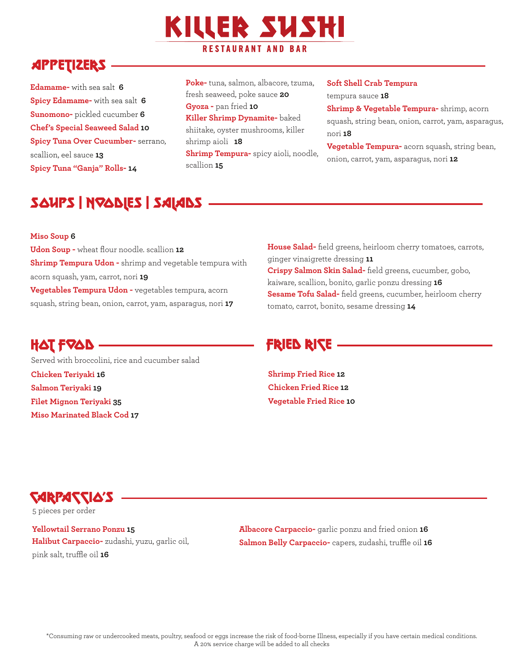# **KILLER SUSHI RESTAURANT AND BAR**

# **APPETIZERS**

**Edamame-** with sea salt **6 Spicy Edamame-** with sea salt **6 Sunomono-** pickled cucumber **6 Chef's Special Seaweed Salad 10 Spicy Tuna Over Cucumber-** serrano, scallion, eel sauce **13 Spicy Tuna "Ganja" Rolls- 14**

**Poke-** tuna, salmon, albacore, tzuma, fresh seaweed, poke sauce **20 Gyoza -** pan fried **10 Killer Shrimp Dynamite-** baked shiitake, oyster mushrooms, killer shrimp aioli **18 Shrimp Tempura-** spicy aioli, noodle, scallion **15**

#### **Soft Shell Crab Tempura**

tempura sauce **18**

**Shrimp & Vegetable Tempura-** shrimp, acorn squash, string bean, onion, carrot, yam, asparagus, nori **18**

**Vegetable Tempura-** acorn squash, string bean, onion, carrot, yam, asparagus, nori **12**

# SOUPS | NOODLEs | SALADS

#### **Miso Soup 6**

**Udon Soup -** wheat flour noodle. scallion **12 Shrimp Tempura Udon -** shrimp and vegetable tempura with acorn squash, yam, carrot, nori **19 Vegetables Tempura Udon -** vegetables tempura, acorn squash, string bean, onion, carrot, yam, asparagus, nori **17**

### **House Salad-** field greens, heirloom cherry tomatoes, carrots, ginger vinaigrette dressing **11 Crispy Salmon Skin Salad-** field greens, cucumber, gobo, kaiware, scallion, bonito, garlic ponzu dressing **16 Sesame Tofu Salad-** field greens, cucumber, heirloom cherry tomato, carrot, bonito, sesame dressing **14**

## HAT FRAN THE RICE RICE RICE

**Shrimp Fried Rice 12 Chicken Fried Rice 12 Vegetable Fried Rice 10**

**Chicken Teriyaki 16 Salmon Teriyaki 19 Filet Mignon Teriyaki 35 Miso Marinated Black Cod 17** Served with broccolini, rice and cucumber salad

Carpaccio's

5 pieces per order

**Yellowtail Serrano Ponzu 15 Halibut Carpaccio-** zudashi, yuzu, garlic oil,

pink salt, truffle oil **16**

**Albacore Carpaccio-** garlic ponzu and fried onion **16 Salmon Belly Carpaccio-** capers, zudashi, truffle oil **16**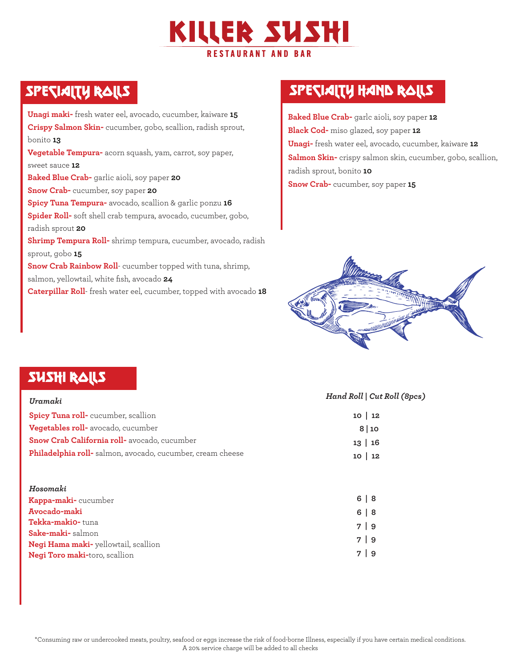

**Unagi maki-** fresh water eel, avocado, cucumber, kaiware **15 Crispy Salmon Skin-** cucumber, gobo, scallion, radish sprout, bonito **13 Vegetable Tempura-** acorn squash, yam, carrot, soy paper, sweet sauce **12 Baked Blue Crab-** garlic aioli, soy paper **20 Snow Crab-** cucumber, soy paper **20 Spicy Tuna Tempura-** avocado, scallion & garlic ponzu **16 Spider Roll-** soft shell crab tempura, avocado, cucumber, gobo, radish sprout **20 Shrimp Tempura Roll-** shrimp tempura, cucumber, avocado, radish sprout, gobo **15 Snow Crab Rainbow Roll**- cucumber topped with tuna, shrimp, salmon, yellowtail, white fish, avocado **24 Caterpillar Roll**- fresh water eel, cucumber, topped with avocado **18**

# SPECIALTY RALLS SPECIALTY HAND RALLS

**Baked Blue Crab-** garlc aioli, soy paper **12 Black Cod-** miso glazed, soy paper **12 Unagi-** fresh water eel, avocado, cucumber, kaiware **12 Salmon Skin-** crispy salmon skin, cucumber, gobo, scallion, radish sprout, bonito **10 Snow Crab-** cucumber, soy paper **15**



## SUSHI ROLLS

| Uramaki                                                   | Hand Roll   Cut Roll (8pcs) |
|-----------------------------------------------------------|-----------------------------|
| Spicy Tuna roll-cucumber, scallion                        | $10 \mid 12$                |
| Vegetables roll- avocado, cucumber                        | 8 10                        |
| Snow Crab California roll- avocado, cucumber              | $13 \mid 16$                |
| Philadelphia roll-salmon, avocado, cucumber, cream cheese | - 12<br>10.                 |

| Hosomaki                                    |            |
|---------------------------------------------|------------|
| <b>Kappa-maki-</b> cucumber                 | $6 \mid 8$ |
| Avocado-maki                                | $6 \mid 8$ |
| Tekka-makio-tuna                            | 79         |
| <b>Sake-maki-</b> salmon                    |            |
| <b>Negi Hama maki-</b> yellowtail, scallion | 79         |
| <b>Negi Toro maki-toro, scallion</b>        | 7 9        |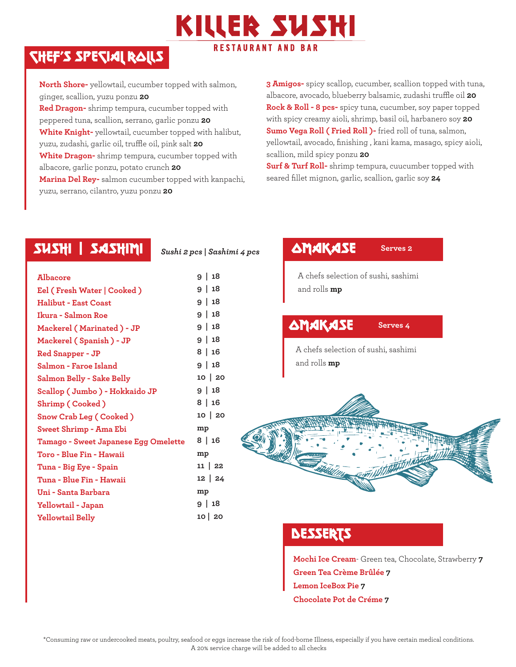

# Chef's Special Rolls

**North Shore-** yellowtail, cucumber topped with salmon, ginger, scallion, yuzu ponzu **20 Red Dragon-** shrimp tempura, cucumber topped with peppered tuna, scallion, serrano, garlic ponzu **20 White Knight-** yellowtail, cucumber topped with halibut, yuzu, zudashi, garlic oil, truffle oil, pink salt **20 White Dragon-** shrimp tempura, cucumber topped with albacore, garlic ponzu, potato crunch **20 Marina Del Rey-** salmon cucumber topped with kanpachi, yuzu, serrano, cilantro, yuzu ponzu **20**

*Sushi 2 pcs | Sashimi 4 pcs*

**3 Amigos-** spicy scallop, cucumber, scallion topped with tuna, albacore, avocado, blueberry balsamic, zudashi truffle oil **20 Rock & Roll - 8 pcs-** spicy tuna, cucumber, soy paper topped with spicy creamy aioli, shrimp, basil oil, harbanero soy **20 Sumo Vega Roll ( Fried Roll )-** fried roll of tuna, salmon, yellowtail, avocado, finishing , kani kama, masago, spicy aioli, scallion, mild spicy ponzu **20**

**Surf & Turf Roll-** shrimp tempura, cuucumber topped with seared fillet mignon, garlic, scallion, garlic soy **24**

### $SUSH$ | SASHIMI  $S_{ushi 2 pcs | Sashimi 4 pcs}$   $\Delta MAKASE$

| Albacore                             | 18<br>$\mathbf{I}$<br>9 |
|--------------------------------------|-------------------------|
| Eel ( Fresh Water   Cooked )         | 18<br>Τ.<br>9           |
| Halibut - East Coast                 | 18<br>9                 |
| Ikura - Salmon Roe                   | 18<br>9                 |
| Mackerel ( Marinated ) - JP          | 18<br>9                 |
| Mackerel ( Spanish ) - JP            | 18<br>9                 |
| <b>Red Snapper - JP</b>              | $8 \mid 16$             |
| Salmon - Faroe Island                | 9   18                  |
| Salmon Belly - Sake Belly            | $10 \mid 20$            |
| Scallop ( Jumbo ) - Hokkaido JP      | $9 \mid 18$             |
| Shrimp (Cooked)                      | $8 \mid 16$             |
| Snow Crab Leg ( Cooked )             | $10 \mid 20$            |
| Sweet Shrimp - Ama Ebi               | mp                      |
| Tamago - Sweet Japanese Egg Omelette | 8 16                    |
| Toro - Blue Fin - Hawaii             | mp                      |
| Tuna - Big Eye - Spain               | $11 \mid 22$            |
| Tuna - Blue Fin - Hawaii             | $12 \mid 24$            |
| Uni - Santa Barbara                  | mp                      |
| Yellowtail - Japan                   | $9 \mid 18$             |
| <b>Yellowtail Belly</b>              | $10 \mid 20$            |
|                                      |                         |

### **Serves 2**

A chefs selection of sushi, sashimi and rolls **mp**

### **OMAKASE**

**Serves 4**

A chefs selection of sushi, sashimi and rolls **mp**



### **DESSERTS**

**Mochi Ice Cream**- Green tea, Chocolate, Strawberry **7 Green Tea Crème Brûlée 7 Lemon IceBox Pie 7 Chocolate Pot de Créme 7**